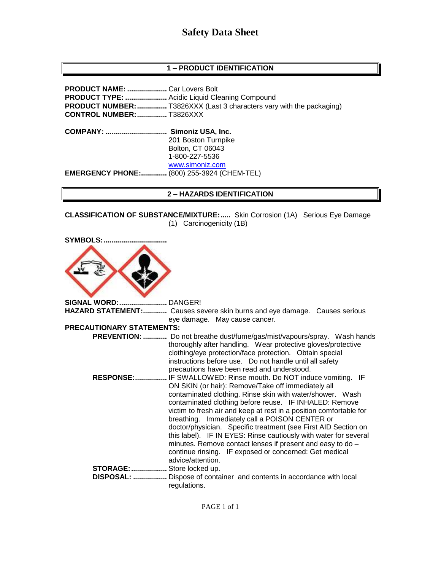# **1 – PRODUCT IDENTIFICATION**

**PRODUCT NAME: ....................** Car Lovers Bolt **PRODUCT TYPE: .....................** Acidic Liquid Cleaning Compound **PRODUCT NUMBER:...............** T3826XXX (Last 3 characters vary with the packaging) **CONTROL NUMBER:...............** T3826XXX **COMPANY: ............................... Simoniz USA, Inc.** 201 Boston Turnpike Bolton, CT 06043 1-800-227-5536 [www.simoniz.com](http://www.simoniz.com/) **EMERGENCY PHONE:.............** (800) 255-3924 (CHEM-TEL)

### **2 – HAZARDS IDENTIFICATION**

**CLASSIFICATION OF SUBSTANCE/MIXTURE:.....** Skin Corrosion (1A) Serious Eye Damage (1) Carcinogenicity (1B)

**SYMBOLS:................................**

**SIGNAL WORD:........................** DANGER! **HAZARD STATEMENT:............** Causes severe skin burns and eye damage. Causes serious eye damage. May cause cancer. **PRECAUTIONARY STATEMENTS: PREVENTION: ............** Do not breathe dust/fume/gas/mist/vapours/spray. Wash hands thoroughly after handling. Wear protective gloves/protective clothing/eye protection/face protection. Obtain special instructions before use. Do not handle until all safety precautions have been read and understood.  **RESPONSE:................** IF SWALLOWED: Rinse mouth. Do NOT induce vomiting. IF ON SKIN (or hair): Remove/Take off immediately all contaminated clothing. Rinse skin with water/shower. Wash contaminated clothing before reuse. IF INHALED: Remove victim to fresh air and keep at rest in a position comfortable for breathing. Immediately call a POISON CENTER or doctor/physician. Specific treatment (see First AID Section on this label). IF IN EYES: Rinse cautiously with water for several minutes. Remove contact lenses if present and easy to do – continue rinsing. IF exposed or concerned: Get medical advice/attention. **STORAGE:..................** Store locked up.  **DISPOSAL: .................** Dispose of container and contents in accordance with local regulations.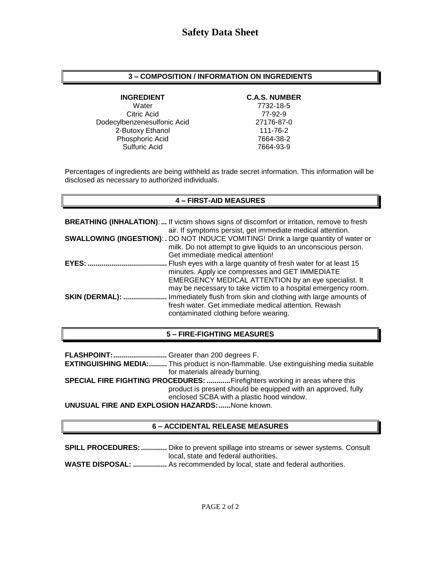# **3 – COMPOSITION / INFORMATION ON INGREDIENTS**

Water 7732-18-5 Citric Acid 77-92-9 Dodecylbenzenesulfonic Acid 27176-87-0 2-Butoxy Ethanol 111-76-2 Phosphoric Acid 7664-38-2 Sulfuric Acid 7664-93-9

### **INGREDIENT C.A.S. NUMBER**

Percentages of ingredients are being withheld as trade secret information. This information will be disclosed as necessary to authorized individuals.

# **4 – FIRST-AID MEASURES**

|                        | <b>BREATHING (INHALATION):</b> If victim shows signs of discomfort or irritation, remove to fresh<br>air. If symptoms persist, get immediate medical attention.                                                                             |
|------------------------|---------------------------------------------------------------------------------------------------------------------------------------------------------------------------------------------------------------------------------------------|
|                        | <b>SWALLOWING (INGESTION): .</b> DO NOT INDUCE VOMITING! Drink a large quantity of water or<br>milk. Do not attempt to give liquids to an unconscious person.<br>Get immediate medical attention!                                           |
| $EYES:$                | Flush eyes with a large quantity of fresh water for at least 15<br>minutes. Apply ice compresses and GET IMMEDIATE<br>EMERGENCY MEDICAL ATTENTION by an eye specialist. It<br>may be necessary to take victim to a hospital emergency room. |
| <b>SKIN (DERMAL): </b> | Immediately flush from skin and clothing with large amounts of<br>fresh water. Get immediate medical attention. Rewash<br>contaminated clothing before wearing.                                                                             |

# **5 – FIRE-FIGHTING MEASURES**

**FLASHPOINT:...........................** Greater than 200 degrees F. **EXTINGUISHING MEDIA:.........** This product is non-flammable. Use extinguishing media suitable for materials already burning. **SPECIAL FIRE FIGHTING PROCEDURES: ............**Firefighters working in areas where this product is present should be equipped with an approved, fully enclosed SCBA with a plastic hood window. **UNUSUAL FIRE AND EXPLOSION HAZARDS:......**None known.

# **6 – ACCIDENTAL RELEASE MEASURES**

**SPILL PROCEDURES:.............** Dike to prevent spillage into streams or sewer systems. Consult local, state and federal authorities. **WASTE DISPOSAL: .................** As recommended by local, state and federal authorities.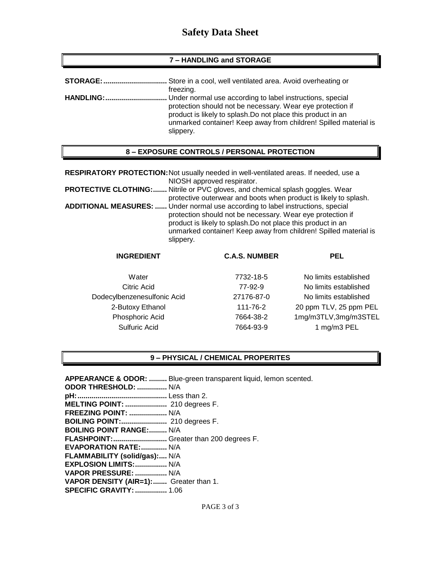# **7 – HANDLING and STORAGE**

| STORAGE:         | . Store in a cool, well ventilated area. Avoid overheating or                                                                                                                                                                                                            |
|------------------|--------------------------------------------------------------------------------------------------------------------------------------------------------------------------------------------------------------------------------------------------------------------------|
|                  | freezing.                                                                                                                                                                                                                                                                |
| <b>HANDLING:</b> | Under normal use according to label instructions, special<br>protection should not be necessary. Wear eye protection if<br>product is likely to splash. Do not place this product in an<br>unmarked container! Keep away from children! Spilled material is<br>slippery. |

# **8 – EXPOSURE CONTROLS / PERSONAL PROTECTION**

**RESPIRATORY PROTECTION:**Not usually needed in well-ventilated areas. If needed, use a NIOSH approved respirator. **PROTECTIVE CLOTHING:.......** Nitrile or PVC gloves, and chemical splash goggles. Wear protective outerwear and boots when product is likely to splash. **ADDITIONAL MEASURES: ......** Under normal use according to label instructions, special protection should not be necessary. Wear eye protection if product is likely to splash.Do not place this product in an unmarked container! Keep away from children! Spilled material is slippery.

| <b>INGREDIENT</b>           | <b>C.A.S. NUMBER</b> | <b>PEL</b>             |
|-----------------------------|----------------------|------------------------|
| Water                       | 7732-18-5            | No limits established  |
| Citric Acid                 | 77-92-9              | No limits established  |
| Dodecylbenzenesulfonic Acid | 27176-87-0           | No limits established  |
| 2-Butoxy Ethanol            | 111-76-2             | 20 ppm TLV, 25 ppm PEL |
| Phosphoric Acid             | 7664-38-2            | 1mg/m3TLV,3mg/m3STEL   |
| Sulfuric Acid               | 7664-93-9            | 1 mg/m3 PEL            |
|                             |                      |                        |

#### **9 – PHYSICAL / CHEMICAL PROPERITES**

**APPEARANCE & ODOR: .........** Blue-green transparent liquid, lemon scented. **ODOR THRESHOLD: ...............** N/A **pH:.............................................** Less than 2. **MELTING POINT: .....................** 210 degrees F. **FREEZING POINT: ...................** N/A **BOILING POINT:.......................** 210 degrees F. **BOILING POINT RANGE:.........** N/A **FLASHPOINT:...........................** Greater than 200 degrees F. **EVAPORATION RATE:.............** N/A **FLAMMABILITY (solid/gas):....** N/A **EXPLOSION LIMITS:................** N/A **VAPOR PRESSURE: ................** N/A **VAPOR DENSITY (AIR=1):.......** Greater than 1. **SPECIFIC GRAVITY:................** 1.06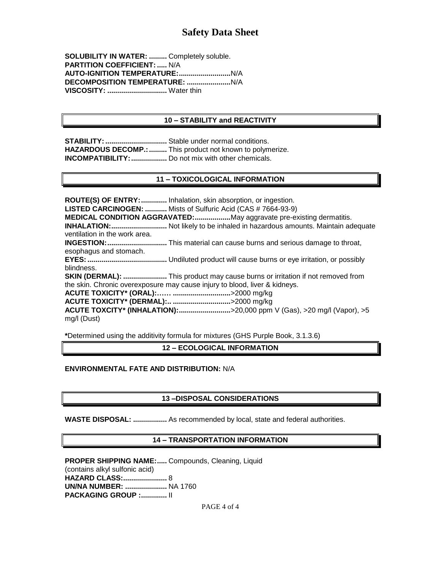**SOLUBILITY IN WATER: .........** Completely soluble. **PARTITION COEFFICIENT: .....** N/A **AUTO-IGNITION TEMPERATURE:..........................**N/A **DECOMPOSITION TEMPERATURE: ......................**N/A **VISCOSITY: ..............................** Water thin

# **10 – STABILITY and REACTIVITY**

**STABILITY: ................................** Stable under normal conditions. **HAZARDOUS DECOMP.: .........** This product not known to polymerize. **INCOMPATIBILITY:..................** Do not mix with other chemicals.

# **11 – TOXICOLOGICAL INFORMATION**

**ROUTE(S) OF ENTRY:.............** Inhalation, skin absorption, or ingestion. **LISTED CARCINOGEN: ...........** Mists of Sulfuric Acid (CAS # 7664-93-9) **MEDICAL CONDITION AGGRAVATED:..................**May aggravate pre-existing dermatitis. **INHALATION:............................** Not likely to be inhaled in hazardous amounts. Maintain adequate ventilation in the work area. **INGESTION:..............................** This material can cause burns and serious damage to throat, esophagus and stomach. **EYES:........................................** Undiluted product will cause burns or eye irritation, or possibly blindness. **SKIN (DERMAL): ......................** This product may cause burns or irritation if not removed from the skin. Chronic overexposure may cause injury to blood, liver & kidneys. **ACUTE TOXICITY\* (ORAL):…… .............................**>2000 mg/kg **ACUTE TOXICITY\* (DERMAL):.. .............................**>2000 mg/kg **ACUTE TOXCITY\* (INHALATION):..........................**>20,000 ppm V (Gas), >20 mg/l (Vapor), >5 mg/l (Dust)

**\***Determined using the additivity formula for mixtures (GHS Purple Book, 3.1.3.6)

## **12 – ECOLOGICAL INFORMATION**

## **ENVIRONMENTAL FATE AND DISTRIBUTION:** N/A

# **13 –DISPOSAL CONSIDERATIONS**

**WASTE DISPOSAL: .................** As recommended by local, state and federal authorities.

# **14 – TRANSPORTATION INFORMATION**

#### **PROPER SHIPPING NAME:.....** Compounds, Cleaning, Liquid (contains alkyl sulfonic acid) **HAZARD CLASS:......................** 8

**UN/NA NUMBER: .....................** NA 1760 **PACKAGING GROUP :.............** II